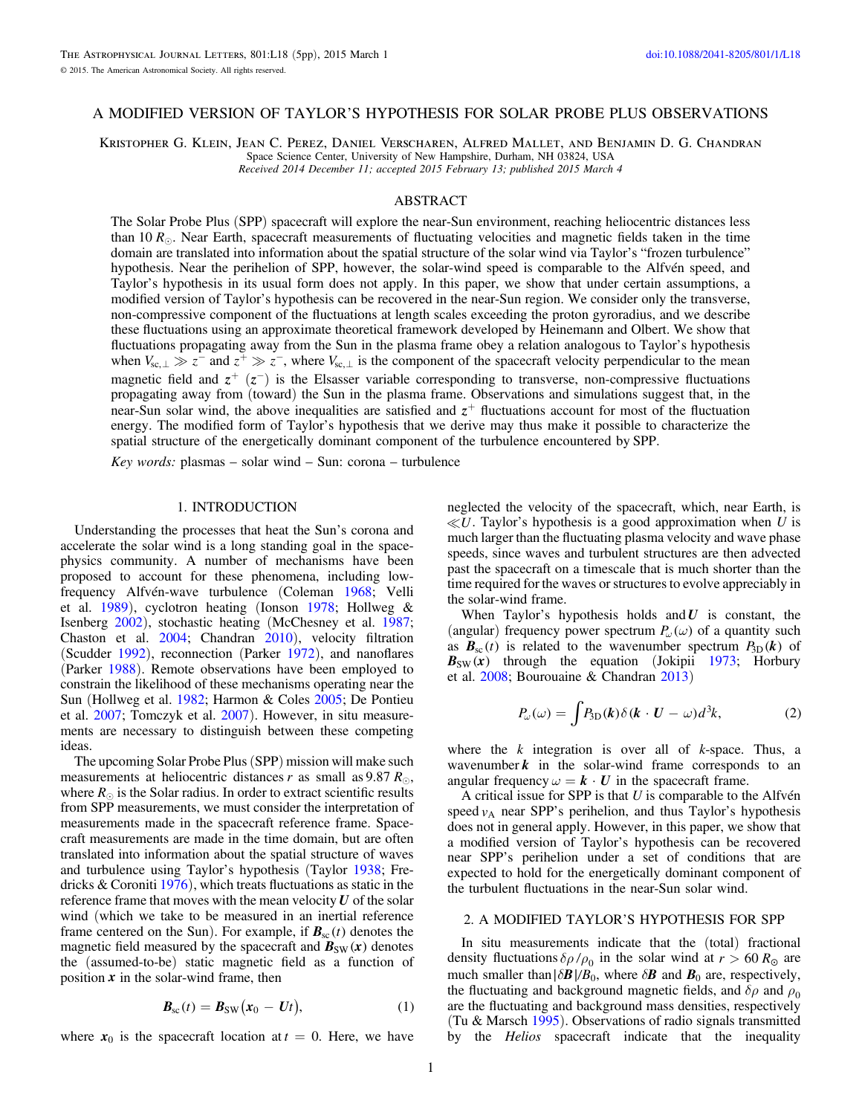# <span id="page-0-0"></span>A MODIFIED VERSION OF TAYLOR'S HYPOTHESIS FOR SOLAR PROBE PLUS OBSERVATIONS

Kristopher G. Klein, Jean C. Perez, Daniel Verscharen, Alfred Mallet, and Benjamin D. G. Chandran Space Science Center, University of New Hampshire, Durham, NH 03824, USA Received 2014 December 11; accepted 2015 February 13; published 2015 March 4

ABSTRACT

The Solar Probe Plus (SPP) spacecraft will explore the near-Sun environment, reaching heliocentric distances less than 10  $R_{\odot}$ . Near Earth, spacecraft measurements of fluctuating velocities and magnetic fields taken in the time domain are translated into information about the spatial structure of the solar wind via Taylor's "frozen turbulence" hypothesis. Near the perihelion of SPP, however, the solar-wind speed is comparable to the Alfvén speed, and Taylor's hypothesis in its usual form does not apply. In this paper, we show that under certain assumptions, a modified version of Taylor's hypothesis can be recovered in the near-Sun region. We consider only the transverse, non-compressive component of the fluctuations at length scales exceeding the proton gyroradius, and we describe these fluctuations using an approximate theoretical framework developed by Heinemann and Olbert. We show that fluctuations propagating away from the Sun in the plasma frame obey a relation analogous to Taylor's hypothesis when  $V_{sc, \perp} \gg z^-$  and  $z^+ \gg z^-$ , where  $V_{sc, \perp}$  is the component of the spacecraft velocity perpendicular to the mean magnetic field and  $z^+$  ( $z^-$ ) is the Elsasser variable corresponding to transverse, non-compressive fluctuations propagating away from (toward) the Sun in the plasma frame. Observations and simulations suggest that, in the near-Sun solar wind, the above inequalities are satisfied and  $z^+$  fluctuations account for most of the fluctuation energy. The modified form of Taylor's hypothesis that we derive may thus make it possible to characterize the spatial structure of the energetically dominant component of the turbulence encountered by SPP.

Key words: plasmas – solar wind – Sun: corona – turbulence

# 1. INTRODUCTION

Understanding the processes that heat the Sun's corona and accelerate the solar wind is a long standing goal in the spacephysics community. A number of mechanisms have been proposed to account for these phenomena, including lowfrequency Alfvén-wave turbulence (Coleman [1968](#page-3-0); Velli et al. [1989](#page-4-0)), cyclotron heating (Ionson [1978;](#page-4-0) Hollweg & Isenberg [2002](#page-3-0)), stochastic heating (McChesney et al. [1987](#page-4-0); Chaston et al. [2004;](#page-3-0) Chandran [2010](#page-3-0)), velocity filtration (Scudder [1992](#page-4-0)), reconnection (Parker [1972](#page-4-0)), and nanoflares (Parker [1988](#page-4-0)). Remote observations have been employed to constrain the likelihood of these mechanisms operating near the Sun (Hollweg et al. [1982](#page-3-0); Harmon & Coles [2005](#page-3-0); De Pontieu et al. [2007](#page-3-0); Tomczyk et al. [2007](#page-4-0)). However, in situ measurements are necessary to distinguish between these competing ideas.

The upcoming Solar Probe Plus(SPP) mission will make such measurements at heliocentric distances r as small as 9.87  $R_{\odot}$ , where  $R_{\odot}$  is the Solar radius. In order to extract scientific results from SPP measurements, we must consider the interpretation of measurements made in the spacecraft reference frame. Spacecraft measurements are made in the time domain, but are often translated into information about the spatial structure of waves and turbulence using Taylor's hypothesis (Taylor [1938;](#page-4-0) Fredricks & Coroniti [1976](#page-3-0)), which treats fluctuations as static in the reference frame that moves with the mean velocity *U* of the solar wind (which we take to be measured in an inertial reference frame centered on the Sun). For example, if  $B_{\rm sc}(t)$  denotes the magnetic field measured by the spacecraft and  $B_{SW}(x)$  denotes the (assumed-to-be) static magnetic field as a function of position  $\boldsymbol{x}$  in the solar-wind frame, then

$$
\boldsymbol{B}_{\rm sc}(t) = \boldsymbol{B}_{\rm SW}(\boldsymbol{x}_0 - \boldsymbol{U}t), \tag{1}
$$

where  $x_0$  is the spacecraft location at  $t = 0$ . Here, we have

neglected the velocity of the spacecraft, which, near Earth, is  $\ll U$ . Taylor's hypothesis is a good approximation when U is much larger than the fluctuating plasma velocity and wave phase speeds, since waves and turbulent structures are then advected past the spacecraft on a timescale that is much shorter than the time required for the waves or structures to evolve appreciably in the solar-wind frame.

When Taylor's hypothesis holds and*U* is constant, the (angular) frequency power spectrum  $P_\omega(\omega)$  of a quantity such as  $B_{\rm sc}(t)$  is related to the wavenumber spectrum  $P_{\rm 3D}(k)$  of  $B_{SW}(x)$  through the equation (Jokipii [1973](#page-4-0); Horbury et al. [2008](#page-3-0); Bourouaine & Chandran [2013](#page-3-0))

$$
P_{\omega}(\omega) = \int P_{3D}(\mathbf{k}) \delta(\mathbf{k} \cdot \mathbf{U} - \omega) d^3 \mathbf{k}, \tag{2}
$$

where the  $k$  integration is over all of  $k$ -space. Thus, a wavenumber  $k$  in the solar-wind frame corresponds to an angular frequency  $\omega = \mathbf{k} \cdot \mathbf{U}$  in the spacecraft frame.

A critical issue for SPP is that  $U$  is comparable to the Alfvén speed  $v_A$  near SPP's perihelion, and thus Taylor's hypothesis does not in general apply. However, in this paper, we show that a modified version of Taylor's hypothesis can be recovered near SPP's perihelion under a set of conditions that are expected to hold for the energetically dominant component of the turbulent fluctuations in the near-Sun solar wind.

# 2. A MODIFIED TAYLOR'S HYPOTHESIS FOR SPP

In situ measurements indicate that the (total) fractional density fluctuations  $\delta \rho / \rho_0$  in the solar wind at  $r > 60 R_\odot$  are much smaller than $|\delta \mathbf{B}|/B_0$ , where  $\delta \mathbf{B}$  and  $\mathbf{B}_0$  are, respectively, the fluctuating and background magnetic fields, and  $\delta \rho$  and  $\rho_0$ are the fluctuating and background mass densities, respectively (Tu & Marsch [1995](#page-4-0)). Observations of radio signals transmitted by the Helios spacecraft indicate that the inequality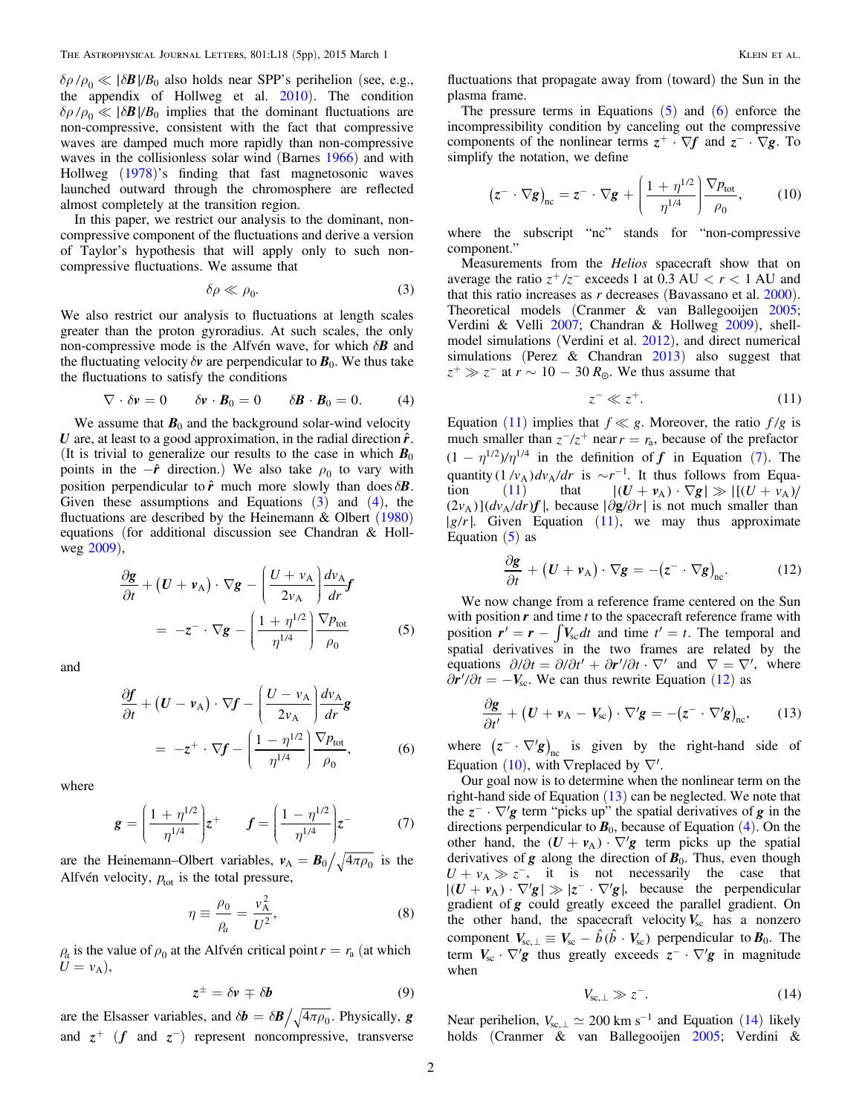<span id="page-1-0"></span> $\delta \rho / \rho_0 \ll |\delta \mathbf{B}| / B_0$  also holds near SPP's perihelion (see, e.g., the appendix of Hollweg et al. [2010](#page-3-0)). The condition  $\delta \rho / \rho_0 \ll |\delta \mathbf{B}| / B_0$  implies that the dominant fluctuations are non-compressive, consistent with the fact that compressive waves are damped much more rapidly than non-compressive waves in the collisionless solar wind (Barnes [1966](#page-3-0)) and with Hollweg ([1978](#page-3-0))'s finding that fast magnetosonic waves launched outward through the chromosphere are reflected almost completely at the transition region.

In this paper, we restrict our analysis to the dominant, noncompressive component of the fluctuations and derive a version of Taylor's hypothesis that will apply only to such noncompressive fluctuations. We assume that

$$
\delta \rho \ll \rho_0. \tag{3}
$$

We also restrict our analysis to fluctuations at length scales greater than the proton gyroradius. At such scales, the only non-compressive mode is the Alfvén wave, for which *dB* and the fluctuating velocity  $\delta v$  are perpendicular to  $\mathbf{B}_0$ . We thus take the fluctuations to satisfy the conditions

$$
\nabla \cdot \delta \mathbf{v} = 0 \qquad \delta \mathbf{v} \cdot \mathbf{B}_0 = 0 \qquad \delta \mathbf{B} \cdot \mathbf{B}_0 = 0. \tag{4}
$$

We assume that  $B_0$  and the background solar-wind velocity *U* are, at least to a good approximation, in the radial direction  $\hat{r}$ . (It is trivial to generalize our results to the case in which  $B_0$ points in the  $-\hat{r}$  direction.) We also take  $\rho_0$  to vary with position perpendicular to  $\hat{r}$  much more slowly than does  $\delta \mathbf{B}$ . Given these assumptions and Equations  $(3)$  and  $(4)$ , the fluctuations are described by the Heinemann & Olbert ([1980](#page-3-0)) equations (for additional discussion see Chandran & Hollweg [2009](#page-3-0)),

$$
\frac{\partial \mathbf{g}}{\partial t} + (\mathbf{U} + \mathbf{v}_{A}) \cdot \nabla \mathbf{g} - \left(\frac{\mathbf{U} + \mathbf{v}_{A}}{2v_{A}}\right) \frac{d\mathbf{v}_{A}}{dr} \mathbf{f}
$$
\n
$$
= -\mathbf{z}^{-} \cdot \nabla \mathbf{g} - \left(\frac{1 + \eta^{1/2}}{\eta^{1/4}}\right) \frac{\nabla p_{\text{tot}}}{\rho_{0}} \tag{5}
$$

and

$$
\frac{\partial f}{\partial t} + (U - v_{A}) \cdot \nabla f - \left(\frac{U - v_{A}}{2v_{A}}\right) \frac{dv_{A}}{dr} g
$$
\n
$$
= -z^{+} \cdot \nabla f - \left(\frac{1 - \eta^{1/2}}{\eta^{1/4}}\right) \frac{\nabla p_{\text{tot}}}{\rho_{0}}, \quad (6)
$$

where

$$
\mathbf{g} = \left(\frac{1 + \eta^{1/2}}{\eta^{1/4}}\right)z^{+} \qquad \mathbf{f} = \left(\frac{1 - \eta^{1/2}}{\eta^{1/4}}\right)z^{-} \tag{7}
$$

are the Heinemann–Olbert variables,  $v_A = B_0 / \sqrt{4 \pi \rho_0}$  is the Alfvén velocity,  $p_{\text{tot}}$  is the total pressure,

$$
\eta \equiv \frac{\rho_0}{\rho_a} = \frac{v_A^2}{U^2},\tag{8}
$$

 $r_{a}$  is the value of  $\rho_0$  at the Alfvén critical point  $r = r_a$  (at which  $U = v_A$ ),

$$
z^{\pm} = \delta v \mp \delta b \tag{9}
$$

are the Elsasser variables, and  $\delta \mathbf{b} = \delta \mathbf{B} / \sqrt{4 \pi \rho_0}$ . Physically, *g* and  $z^+$  (*f* and  $z^-$ ) represent noncompressive, transverse

fluctuations that propagate away from (toward) the Sun in the plasma frame.

The pressure terms in Equations  $(5)$  and  $(6)$  enforce the incompressibility condition by canceling out the compressive components of the nonlinear terms  $z^+ \cdot \nabla f$  and  $z^- \cdot \nabla g$ . To simplify the notation, we define

$$
\left(z^{-} \cdot \nabla g\right)_{\text{nc}} = z^{-} \cdot \nabla g + \left(\frac{1 + \eta^{1/2}}{\eta^{1/4}}\right) \frac{\nabla p_{\text{tot}}}{\rho_0},\tag{10}
$$

where the subscript "nc" stands for "non-compressive component."

Measurements from the Helios spacecraft show that on average the ratio  $z^+/z^-$  exceeds 1 at 0.3 AU  $\lt r \lt 1$  AU and that this ratio increases as  $r$  decreases (Bavassano et al.  $2000$ ). Theoretical models (Cranmer & van Ballegooijen [2005](#page-3-0); Verdini & Velli [2007](#page-4-0); Chandran & Hollweg [2009](#page-3-0)), shellmodel simulations (Verdini et al. [2012](#page-4-0)), and direct numerical simulations (Perez & Chandran [2013](#page-4-0)) also suggest that  $z^+ \gg z^-$  at  $r \sim 10 - 30 R_{\odot}$ . We thus assume that

$$
z^- \ll z^+.\tag{11}
$$

Equation (11) implies that  $f \ll g$ . Moreover, the ratio  $f/g$  is much smaller than  $z^{-}/z^{+}$  near  $r = r_a$ , because of the prefactor  $(1 - \eta^{1/2})/\eta^{1/4}$  in the definition of *f* in Equation (7). The quantity  $(1/v_A)dv_A/dr$  is  $\sim r^{-1}$ . It thus follows from Equation (11) that  $|(U + v_A) \cdot \nabla g| \gg |[(U + v_A)]$  $(2v_A)$ ]( $dv_A/dr$ ) $f$ , because  $|\partial g/\partial r|$  is not much smaller than *|g/r*. Given Equation (11), we may thus approximate Equation  $(5)$  as

$$
\frac{\partial \mathbf{g}}{\partial t} + (\mathbf{U} + \mathbf{v}_{A}) \cdot \nabla \mathbf{g} = -(\mathbf{z}^{-} \cdot \nabla \mathbf{g})_{\text{nc}}.
$$
 (12)

We now change from a reference frame centered on the Sun with position  $r$  and time  $t$  to the spacecraft reference frame with position  $r' = r - \int V_{sc} dt$  and time  $t' = t$ . The temporal and spatial derivatives in the two frames are related by the equations  $\partial/\partial t = \partial/\partial t' + \partial \mathbf{r}'/\partial t \cdot \nabla'$  and  $\nabla = \nabla'$ , where  $\partial r' / \partial t = -V_{\rm sc}$ . We can thus rewrite Equation (12) as

$$
\frac{\partial \mathbf{g}}{\partial t'} + (\mathbf{U} + \mathbf{v}_{A} - \mathbf{V}_{sc}) \cdot \nabla' \mathbf{g} = -(\mathbf{z}^{-} \cdot \nabla' \mathbf{g})_{nc}, \qquad (13)
$$

where  $(z^- \cdot \nabla' g)_{nc}$  is given by the right-hand side of Equation (10), with  $\nabla$ replaced by  $\nabla'$ .

Our goal now is to determine when the nonlinear term on the right-hand side of Equation (13) can be neglected. We note that the  $z^- \cdot \nabla' g$  term "picks up" the spatial derivatives of *g* in the directions perpendicular to  $\mathbf{B}_0$ , because of Equation (4). On the other hand, the  $(U + v_A) \cdot \nabla' g$  term picks up the spatial derivatives of  $g$  along the direction of  $B_0$ . Thus, even though  $U + v_A \gg z^-$ , it is not necessarily the case that  $|(U + v_A) \cdot \nabla' g| \gg |z^- \cdot \nabla' g|$ , because the perpendicular gradient of *g* could greatly exceed the parallel gradient. On the other hand, the spacecraft velocity  $V_{\rm sc}$  has a nonzero component  $V_{\rm sc, \perp} \equiv V_{\rm sc} - \hat{b} (\hat{b} \cdot V_{\rm sc})$  perpendicular to  $B_0$ . The term  $V_{\rm sc} \cdot \nabla' g$  thus greatly exceeds  $z^- \cdot \nabla' g$  in magnitude when

$$
V_{\rm sc,\perp} \gg z^-.
$$
 (14)

Near perihelion,  $V_{sc, \perp} \simeq 200 \text{ km s}^{-1}$  and Equation (14) likely holds (Cranmer & van Ballegooijen [2005;](#page-3-0) Verdini &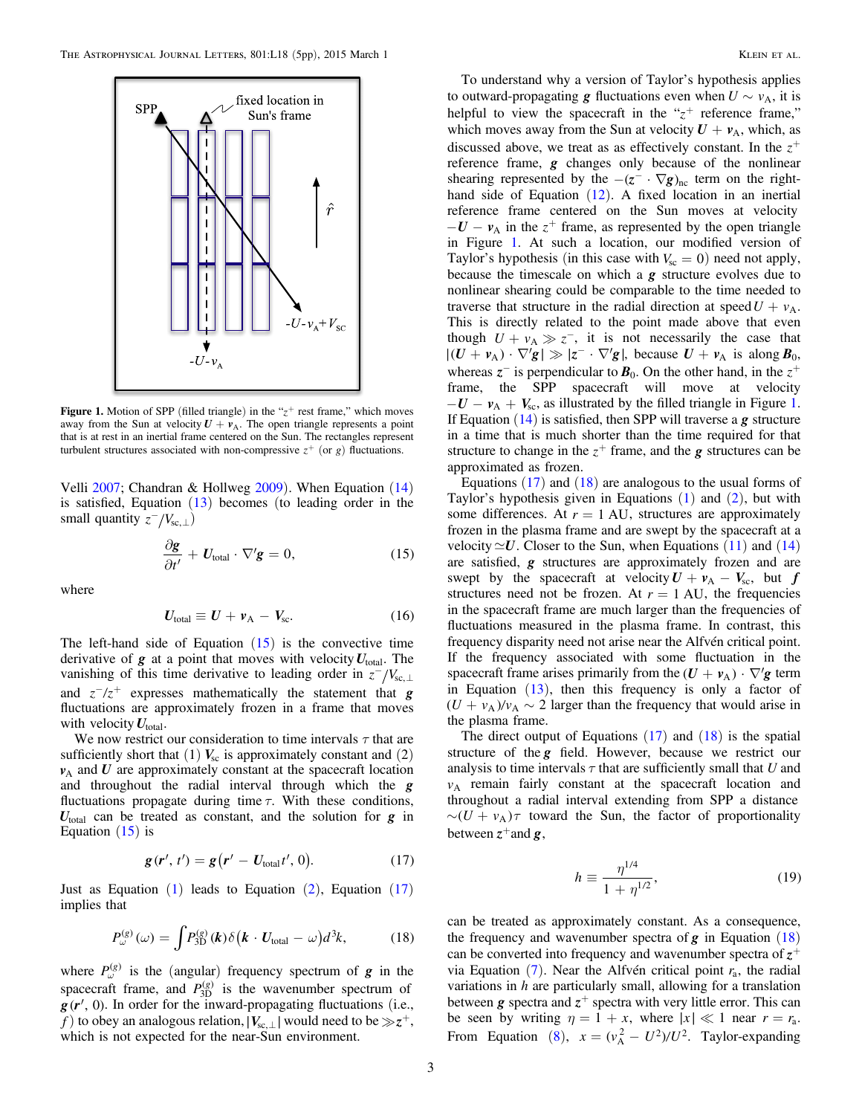<span id="page-2-0"></span>

**Figure 1.** Motion of SPP (filled triangle) in the " $z$ <sup>+</sup> rest frame," which moves away from the Sun at velocity  $U + v_A$ . The open triangle represents a point that is at rest in an inertial frame centered on the Sun. The rectangles represent turbulent structures associated with non-compressive  $z^+$  (or g) fluctuations.

Velli [2007;](#page-4-0) Chandran & Hollweg [2009](#page-3-0)). When Equation ([14](#page-1-0)) is satisfied, Equation ([13](#page-1-0)) becomes (to leading order in the small quantity  $z^{-}/V_{\text{sc},\perp}$ )

$$
\frac{\partial \mathbf{g}}{\partial t'} + \mathbf{U}_{\text{total}} \cdot \nabla' \mathbf{g} = 0, \tag{15}
$$

where

$$
U_{\text{total}} \equiv U + v_{\text{A}} - V_{\text{sc}}.
$$
 (16)

The left-hand side of Equation  $(15)$  is the convective time derivative of  $g$  at a point that moves with velocity  $U_{total}$ . The vanishing of this time derivative to leading order in  $z^{-}/V_{sc,\perp}$ and  $z^{-}/z^{+}$  expresses mathematically the statement that **g** fluctuations are approximately frozen in a frame that moves with velocity  $U_{total}$ .

We now restrict our consideration to time intervals  $\tau$  that are sufficiently short that  $(1)$   $V_{\rm sc}$  is approximately constant and  $(2)$  $v_A$  and  $U$  are approximately constant at the spacecraft location and throughout the radial interval through which the *g* fluctuations propagate during time  $\tau$ . With these conditions, *U*total can be treated as constant, and the solution for *g* in Equation  $(15)$  is

$$
\mathbf{g}(\mathbf{r}',t') = \mathbf{g}(\mathbf{r}' - \mathbf{U}_{\text{total}}t', 0). \tag{17}
$$

Just as Equation  $(1)$  $(1)$  $(1)$  leads to Equation  $(2)$  $(2)$  $(2)$ , Equation  $(17)$ implies that

$$
P_{\omega}^{(g)}(\omega) = \int P_{3D}^{(g)}(\boldsymbol{k}) \delta(\boldsymbol{k} \cdot \boldsymbol{U}_{\text{total}} - \omega) d^3 \boldsymbol{k}, \qquad (18)
$$

where  $P_{\omega}^{(g)}$  is the (angular) frequency spectrum of *g* in the spacecraft frame, and  $P_{3D}^{(g)}$  is the wavenumber spectrum of  $g(r', 0)$ . In order for the inward-propagating fluctuations (i.e., *f*) to obey an analogous relation,  $|V_{sc,\perp}|$  would need to be  $\gg z^+$ , which is not expected for the near-Sun environment.

To understand why a version of Taylor's hypothesis applies to outward-propagating **g** fluctuations even when  $U \sim v_A$ , it is helpful to view the spacecraft in the " $z$ <sup>+</sup> reference frame," which moves away from the Sun at velocity  $U + v_A$ , which, as discussed above, we treat as as effectively constant. In the  $z^+$ reference frame, *g* changes only because of the nonlinear shearing represented by the  $-(z^- \cdot \nabla g)_{nc}$  term on the righthand side of Equation ([12](#page-1-0)). A fixed location in an inertial reference frame centered on the Sun moves at velocity  $-U - v_A$  in the  $z^+$  frame, as represented by the open triangle in Figure 1. At such a location, our modified version of Taylor's hypothesis (in this case with  $V_{\rm sc} = 0$ ) need not apply, because the timescale on which a *g* structure evolves due to nonlinear shearing could be comparable to the time needed to traverse that structure in the radial direction at speed  $U + v_A$ . This is directly related to the point made above that even though  $U + v_A \gg z^-$ , it is not necessarily the case that  $|(U + v_A) \cdot \nabla' g| \gg |z^- \cdot \nabla' g|$ , because  $U + v_A$  is along  $B_0$ , whereas  $z^-$  is perpendicular to  $B_0$ . On the other hand, in the  $z^+$ frame, the SPP spacecraft will move at velocity  $-U - v_A + V_{sc}$ , as illustrated by the filled triangle in Figure 1. If Equation ([14](#page-1-0)) is satisfied, then SPP will traverse a *g* structure in a time that is much shorter than the time required for that structure to change in the  $z^+$  frame, and the *g* structures can be approximated as frozen.

Equations  $(17)$  and  $(18)$  are analogous to the usual forms of Taylor's hypothesis given in Equations  $(1)$  $(1)$  $(1)$  and  $(2)$  $(2)$  $(2)$ , but with some differences. At  $r = 1$  AU, structures are approximately frozen in the plasma frame and are swept by the spacecraft at a velocity  $\approx U$ . Closer to the Sun, when Equations ([11](#page-1-0)) and ([14](#page-1-0)) are satisfied, *g* structures are approximately frozen and are swept by the spacecraft at velocity  $U + v_A - V_{sc}$ , but *f* structures need not be frozen. At  $r = 1$  AU, the frequencies in the spacecraft frame are much larger than the frequencies of fluctuations measured in the plasma frame. In contrast, this frequency disparity need not arise near the Alfvén critical point. If the frequency associated with some fluctuation in the spacecraft frame arises primarily from the  $(U + v_A) \cdot \nabla' g$  term in Equation  $(13)$  $(13)$  $(13)$ , then this frequency is only a factor of  $(U + v_A)/v_A \sim 2$  larger than the frequency that would arise in the plasma frame.

The direct output of Equations  $(17)$  and  $(18)$  is the spatial structure of the *g* field. However, because we restrict our analysis to time intervals  $\tau$  that are sufficiently small that U and  $v_A$  remain fairly constant at the spacecraft location and throughout a radial interval extending from SPP a distance  $\sim (U + v_A)\tau$  toward the Sun, the factor of proportionality between  $z^+$  and  $g$ ,

$$
h \equiv \frac{\eta^{1/4}}{1 + \eta^{1/2}},\tag{19}
$$

can be treated as approximately constant. As a consequence, the frequency and wavenumber spectra of  $g$  in Equation  $(18)$ can be converted into frequency and wavenumber spectra of  $z^+$ via Equation  $(7)$  $(7)$  $(7)$ . Near the Alfvén critical point  $r<sub>a</sub>$ , the radial variations in  $h$  are particularly small, allowing for a translation between *g* spectra and  $z^+$  spectra with very little error. This can be seen by writing  $\eta = 1 + x$ , where  $|x| \ll 1$  near  $r = r_a$ . From Equation ([8](#page-1-0)),  $x = (v_A^2 - U^2)/U^2$ . Taylor-expanding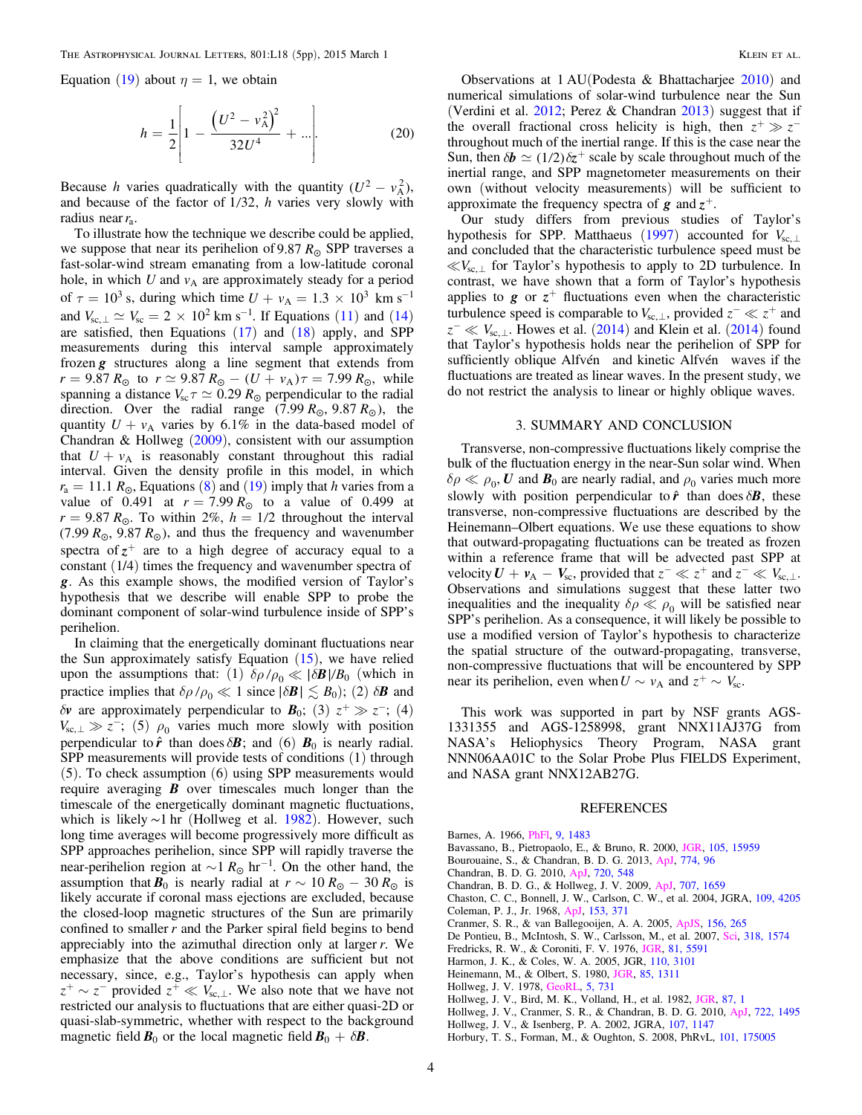<span id="page-3-0"></span>Equation ([19](#page-2-0)) about  $\eta = 1$ , we obtain

$$
h = \frac{1}{2} \left[ 1 - \frac{\left( U^2 - v_A^2 \right)^2}{32U^4} + \dots \right].
$$
 (20)

Because *h* varies quadratically with the quantity  $(U^2 - v_A^2)$ , and because of the factor of  $1/32$ , h varies very slowly with radius near*r*a.

To illustrate how the technique we describe could be applied, we suppose that near its perihelion of 9.87  $R_{\odot}$  SPP traverses a fast-solar-wind stream emanating from a low-latitude coronal hole, in which  $U$  and  $v_A$  are approximately steady for a period of  $\tau = 10^3$  s, during which time  $U + v_A = 1.3 \times 10^3$  km s<sup>-1</sup> and  $V_{sc, \perp} \simeq V_{sc} = 2 \times 10^2 \text{ km s}^{-1}$ . If Equations ([11](#page-1-0)) and ([14](#page-1-0)) are satisfied, then Equations ([17](#page-2-0)) and ([18](#page-2-0)) apply, and SPP measurements during this interval sample approximately frozen *g* structures along a line segment that extends from  $r = 9.87 R_{\odot}$  to  $r \simeq 9.87 R_{\odot} - (U + v_{A}) \tau = 7.99 R_{\odot}$ , while spanning a distance  $V_{\text{sc}}\tau \simeq 0.29 R_{\odot}$  perpendicular to the radial direction. Over the radial range  $(7.99 R_{\odot}, 9.87 R_{\odot})$ , the quantity  $U + v_A$  varies by 6.1% in the data-based model of Chandran & Hollweg  $(2009)$ , consistent with our assumption that  $U + v_A$  is reasonably constant throughout this radial interval. Given the density profile in this model, in which  $r_a = 11.1 R_\odot$ , Equations ([8](#page-1-0)) and ([19](#page-2-0)) imply that h varies from a value of 0.491 at  $r = 7.99 R_{\odot}$  to a value of 0.499 at  $r = 9.87 R_{\odot}$ . To within 2%,  $h = 1/2$  throughout the interval (7.99  $R_{\odot}$ , 9.87  $R_{\odot}$ ), and thus the frequency and wavenumber spectra of  $z^+$  are to a high degree of accuracy equal to a constant (1/4) times the frequency and wavenumber spectra of *g*. As this example shows, the modified version of Taylor's hypothesis that we describe will enable SPP to probe the dominant component of solar-wind turbulence inside of SPP's perihelion.

In claiming that the energetically dominant fluctuations near the Sun approximately satisfy Equation  $(15)$  $(15)$  $(15)$ , we have relied upon the assumptions that: (1)  $\delta \rho / \rho_0 \ll |\delta \mathbf{B}| / B_0$  (which in practice implies that  $\delta \rho / \rho_0 \ll 1$  since  $|\delta \mathbf{B}| \lesssim B_0$ ; (2)  $\delta \mathbf{B}$  and *dv* are approximately perpendicular to  $\mathbf{B}_0$ ; (3)  $z^+ \gg z^-$ ; (4)  $V_{\text{sc},\perp} \gg z^-$ ; (5)  $\rho_0$  varies much more slowly with position perpendicular to  $\hat{r}$  than does  $\delta \mathbf{B}$ ; and (6)  $\mathbf{B}_0$  is nearly radial. SPP measurements will provide tests of conditions (1) through (5). To check assumption (6) using SPP measurements would require averaging *B* over timescales much longer than the timescale of the energetically dominant magnetic fluctuations, which is likely ∼1 hr (Hollweg et al. 1982). However, such long time averages will become progressively more difficult as SPP approaches perihelion, since SPP will rapidly traverse the near-perihelion region at  $\sim$ 1  $R_{\odot}$  hr<sup>-1</sup>. On the other hand, the assumption that  $\mathbf{B}_0$  is nearly radial at  $r \sim 10 R_{\odot} - 30 R_{\odot}$  is likely accurate if coronal mass ejections are excluded, because the closed-loop magnetic structures of the Sun are primarily confined to smaller  $r$  and the Parker spiral field begins to bend appreciably into the azimuthal direction only at larger  $r$ . We emphasize that the above conditions are sufficient but not necessary, since, e.g., Taylor's hypothesis can apply when  $z^+ \sim z^-$  provided  $z^+ \ll V_{\text{sc},\perp}$ . We also note that we have not restricted our analysis to fluctuations that are either quasi-2D or quasi-slab-symmetric, whether with respect to the background magnetic field  $\mathbf{B}_0$  or the local magnetic field  $\mathbf{B}_0 + \delta \mathbf{B}$ .

Observations at 1 AU(Podesta & Bhattacharjee [2010](#page-4-0)) and numerical simulations of solar-wind turbulence near the Sun (Verdini et al. [2012](#page-4-0); Perez & Chandran  $2013$ ) suggest that if the overall fractional cross helicity is high, then  $z^+ \gg z^$ throughout much of the inertial range. If this is the case near the Sun, then  $\delta b \simeq (1/2) \delta z^+$  scale by scale throughout much of the inertial range, and SPP magnetometer measurements on their own (without velocity measurements) will be sufficient to approximate the frequency spectra of  $g$  and  $z^+$ .

Our study differs from previous studies of Taylor's hypothesis for SPP. Matthaeus ([1997](#page-4-0)) accounted for  $V_{sc,\perp}$ and concluded that the characteristic turbulence speed must be  $\ll V_{\rm sc}$  for Taylor's hypothesis to apply to 2D turbulence. In contrast, we have shown that a form of Taylor's hypothesis applies to  $g$  or  $z^+$  fluctuations even when the characteristic turbulence speed is comparable to  $V_{sc,\perp}$ , provided  $z^- \ll z^+$  and  $z^- \ll V_{sc,\perp}$ . Howes et al. ([2014](#page-4-0)) and Klein et al. (2014) found that Taylor's hypothesis holds near the perihelion of SPP for sufficiently oblique Alfvén and kinetic Alfvén waves if the fluctuations are treated as linear waves. In the present study, we do not restrict the analysis to linear or highly oblique waves.

# 3. SUMMARY AND CONCLUSION

Transverse, non-compressive fluctuations likely comprise the bulk of the fluctuation energy in the near-Sun solar wind. When  $\delta \rho \ll \rho_0$ , *U* and  $\mathbf{B}_0$  are nearly radial, and  $\rho_0$  varies much more slowly with position perpendicular to  $\hat{r}$  than does  $\delta \mathbf{B}$ , these transverse, non-compressive fluctuations are described by the Heinemann–Olbert equations. We use these equations to show that outward-propagating fluctuations can be treated as frozen within a reference frame that will be advected past SPP at velocity  $U + v_A - V_{sc}$ , provided that  $z^- \ll z^+$  and  $z^- \ll V_{sc,\perp}$ . Observations and simulations suggest that these latter two inequalities and the inequality  $\delta \rho \ll \rho_0$  will be satisfied near SPP's perihelion. As a consequence, it will likely be possible to use a modified version of Taylor's hypothesis to characterize the spatial structure of the outward-propagating, transverse, non-compressive fluctuations that will be encountered by SPP near its perihelion, even when  $U \sim v_A$  and  $z^+ \sim V_{sc}$ .

This work was supported in part by NSF grants AGS-1331355 and AGS-1258998, grant NNX11AJ37G from NASA's Heliophysics Theory Program, NASA grant NNN06AA01C to the Solar Probe Plus FIELDS Experiment, and NASA grant NNX12AB27G.

#### REFERENCES

Barnes, A. 1966, [PhFl](http://dx.doi.org/10.1063/1.1761882), [9, 1483](http://adsabs.harvard.edu/abs/1966PhFl....9.1483B)

- Bavassano, B., Pietropaolo, E., & Bruno, R. 2000, [JGR,](http://dx.doi.org/10.1029/1999JA000276) [105, 15959](http://adsabs.harvard.edu/abs/2000JGR...10515959B)
- Bourouaine, S., & Chandran, B. D. G. 2013, [ApJ,](http://dx.doi.org/10.1088/0004-637X/774/2/96) [774, 96](http://adsabs.harvard.edu/abs/2013ApJ...774...96B)
- Chandran, B. D. G. 2010, [ApJ](http://dx.doi.org/10.1088/0004-637X/720/1/548), [720, 548](http://adsabs.harvard.edu/abs/2010ApJ...720..548C)
- Chandran, B. D. G., & Hollweg, J. V. 2009, [ApJ](http://dx.doi.org/10.1088/0004-637X/707/2/1659), [707, 1659](http://adsabs.harvard.edu/abs/2009ApJ...707.1659C)
- Chaston, C. C., Bonnell, J. W., Carlson, C. W., et al. 2004, JGRA, [109, 4205](http://adsabs.harvard.edu/abs/2004JGRA..109.4205C) Coleman, P. J., Jr. 1968, [ApJ,](http://dx.doi.org/10.1086/149674) [153, 371](http://adsabs.harvard.edu/abs/1968ApJ...153..371C)
- Cranmer, S. R., & van Ballegooijen, A. A. 2005, [ApJS,](http://dx.doi.org/10.1086/426507) [156, 265](http://adsabs.harvard.edu/abs/2005ApJS..156..265C)
- De Pontieu, B., McIntosh, S. W., Carlsson, M., et al. 2007, [Sci,](http://dx.doi.org/10.1126/science.1151747) [318, 1574](http://adsabs.harvard.edu/abs/2007Sci...318.1574D)
- Fredricks, R. W., & Coroniti, F. V. 1976, [JGR](http://dx.doi.org/10.1029/JA081i031p05591), [81, 5591](http://adsabs.harvard.edu/abs/1976JGR....81.5591F)
- Harmon, J. K., & Coles, W. A. 2005, JGR, [110, 3101](http://adsabs.harvard.edu/abs/2005JGR...110.3101H)
- Heinemann, M., & Olbert, S. 1980, [JGR,](http://dx.doi.org/10.1029/JA085iA03p01311) [85, 1311](http://adsabs.harvard.edu/abs/1980JGR....85.1311H)
- Hollweg, J. V. 1978, [GeoRL,](http://dx.doi.org/10.1029/GL005i008p00731) [5, 731](http://adsabs.harvard.edu/abs/1978GeoRL...5..731H)
- Hollweg, J. V., Bird, M. K., Volland, H., et al. 1982, [JGR](http://dx.doi.org/10.1029/JA087iA01p00001), [87, 1](http://adsabs.harvard.edu/abs/1982JGR....87....1H)
- Hollweg, J. V., Cranmer, S. R., & Chandran, B. D. G. 2010, [ApJ](http://dx.doi.org/10.1088/0004-637X/722/2/1495), [722, 1495](http://adsabs.harvard.edu/abs/2010ApJ...722.1495H)
- Hollweg, J. V., & Isenberg, P. A. 2002, JGRA, [107, 1147](http://adsabs.harvard.edu/abs/2002JGRA..107.1147H)
- Horbury, T. S., Forman, M., & Oughton, S. 2008, PhRvL, [101, 175005](http://adsabs.harvard.edu/abs/2008PhRvL.101q5005H)